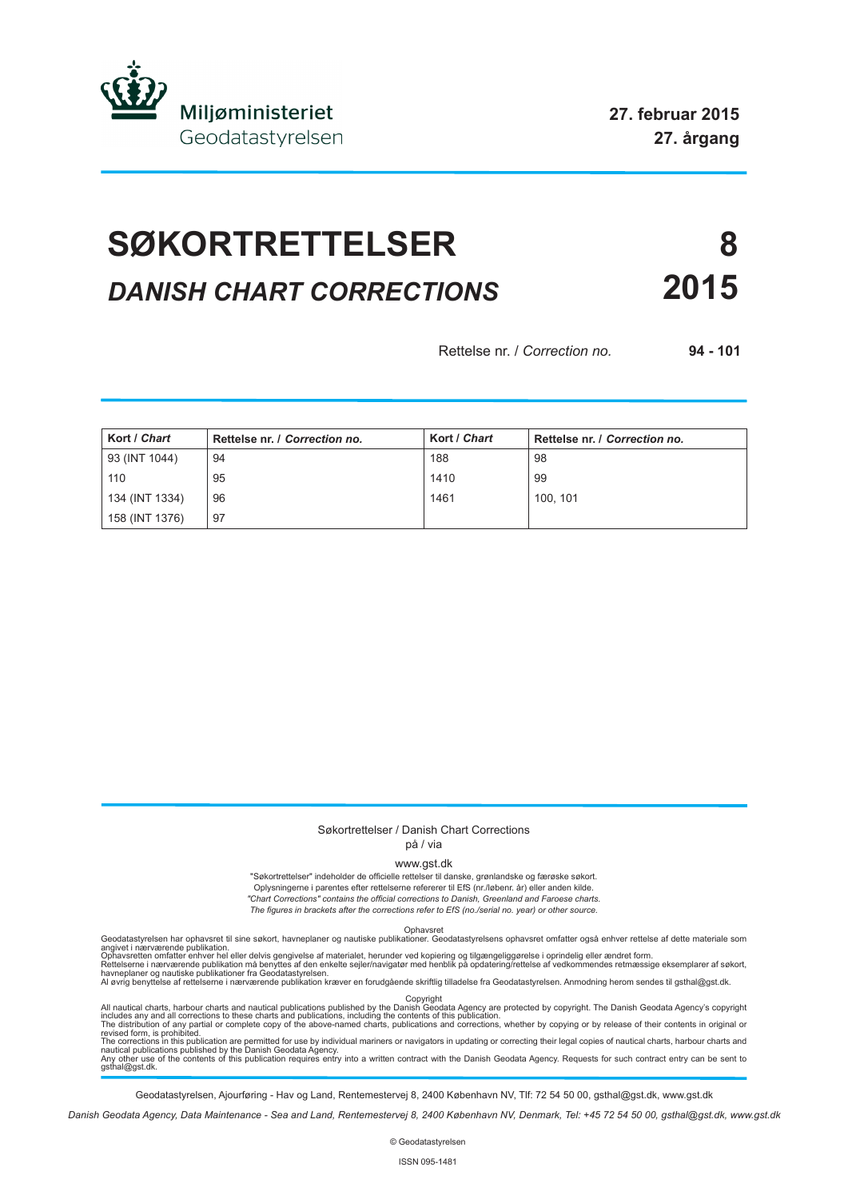

# **SØKORTRETTELSER 8** *DANISH CHART CORRECTIONS* **2015**

Rettelse nr. / *Correction no.* **94 - 101**

| Kort / Chart   | Rettelse nr. / Correction no. | Kort / Chart | Rettelse nr. / Correction no. |
|----------------|-------------------------------|--------------|-------------------------------|
| 93 (INT 1044)  | 94                            | 188          | 98                            |
| 110            | 95                            | 1410         | 99                            |
| 134 (INT 1334) | 96                            | 1461         | 100, 101                      |
| 158 (INT 1376) | 97                            |              |                               |

#### Søkortrettelser / Danish Chart Corrections på / via

www.gst.dk

"Søkortrettelser" indeholder de officielle rettelser til danske, grønlandske og færøske søkort. Oplysningerne i parentes efter rettelserne refererer til EfS (nr./løbenr. år) eller anden kilde. *"Chart Corrections" contains the official corrections to Danish, Greenland and Faroese charts. The figures in brackets after the corrections refer to EfS (no./serial no. year) or other source.*

Geodatastyrelsen har ophavsret til sine søkort, havneplaner og nautiske publikationer. Geodatastyrelsens ophavsret omfatter også enhver rettelse af dette materiale som<br>Ophavsretten omfatter enhver hel eller delvis gengivel

All nautical charts, harbour charts and nautical publications published by the Dopyright<br>includes any and all corrections to these charts and publications, including the contents of this publication.<br>The distribution of an

Geodatastyrelsen, Ajourføring - Hav og Land, Rentemestervej 8, 2400 København NV, Tlf: 72 54 50 00, gsthal@gst.dk, www.gst.dk

*Danish Geodata Agency, Data Maintenance - Sea and Land, Rentemestervej 8, 2400 København NV, Denmark, Tel: +45 72 54 50 00, gsthal@gst.dk, www.gst.dk*

© Geodatastyrelsen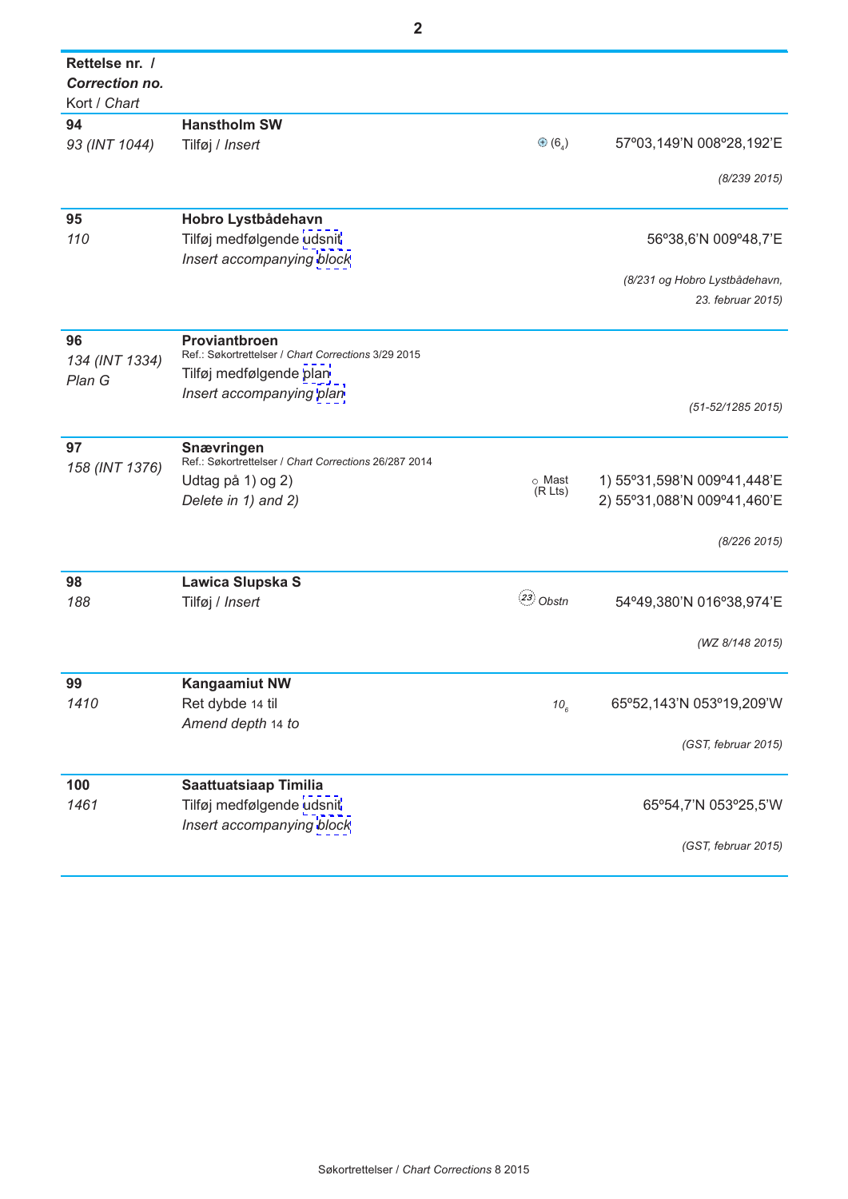| Rettelse nr. / |                                                       |                               |                                                    |
|----------------|-------------------------------------------------------|-------------------------------|----------------------------------------------------|
| Correction no. |                                                       |                               |                                                    |
| Kort / Chart   |                                                       |                               |                                                    |
| 94             | <b>Hanstholm SW</b>                                   |                               |                                                    |
| 93 (INT 1044)  | Tilføj / Insert                                       | $\oplus$ (6 <sub>4</sub> )    | 57°03,149'N 008°28,192'E                           |
|                |                                                       |                               |                                                    |
|                |                                                       |                               | (8/239 2015)                                       |
| 95             | Hobro Lystbådehavn                                    |                               |                                                    |
| 110            | Tilføj medfølgende udsnit                             |                               | 56°38,6'N 009°48,7'E                               |
|                | Insert accompanying block                             |                               |                                                    |
|                |                                                       |                               |                                                    |
|                |                                                       |                               | (8/231 og Hobro Lystbådehavn,<br>23. februar 2015) |
|                |                                                       |                               |                                                    |
| 96             | <b>Proviantbroen</b>                                  |                               |                                                    |
| 134 (INT 1334) | Ref.: Søkortrettelser / Chart Corrections 3/29 2015   |                               |                                                    |
| Plan G         | Tilføj medfølgende plan                               |                               |                                                    |
|                | Insert accompanying plan                              |                               |                                                    |
|                |                                                       |                               | (51-52/1285 2015)                                  |
| 97             | Snævringen                                            |                               |                                                    |
| 158 (INT 1376) | Ref.: Søkortrettelser / Chart Corrections 26/287 2014 |                               |                                                    |
|                | Udtag på 1) og 2)                                     | o Mast<br>(R <sub>L</sub> ts) | 1) 55°31,598'N 009°41,448'E                        |
|                | Delete in 1) and 2)                                   |                               | 2) 55°31,088'N 009°41,460'E                        |
|                |                                                       |                               |                                                    |
|                |                                                       |                               | (8/226 2015)                                       |
| 98             | Lawica Slupska S                                      |                               |                                                    |
| 188            | Tilføj / Insert                                       | $(23)$ Obstn                  | 54°49,380'N 016°38,974'E                           |
|                |                                                       |                               |                                                    |
|                |                                                       |                               | (WZ 8/148 2015)                                    |
|                |                                                       |                               |                                                    |
| 99             | <b>Kangaamiut NW</b>                                  |                               |                                                    |
| 1410           | Ret dybde 14 til                                      | $10_{6}$                      | 65°52,143'N 053°19,209'W                           |
|                | Amend depth 14 to                                     |                               |                                                    |
|                |                                                       |                               | (GST, februar 2015)                                |
|                |                                                       |                               |                                                    |
| 100            | <b>Saattuatsiaap Timilia</b>                          |                               |                                                    |
| 1461           | Tilføj medfølgende udsnit                             |                               | 65°54,7'N 053°25,5'W                               |
|                | Insert accompanying block                             |                               |                                                    |
|                |                                                       |                               | (GST, februar 2015)                                |
|                |                                                       |                               |                                                    |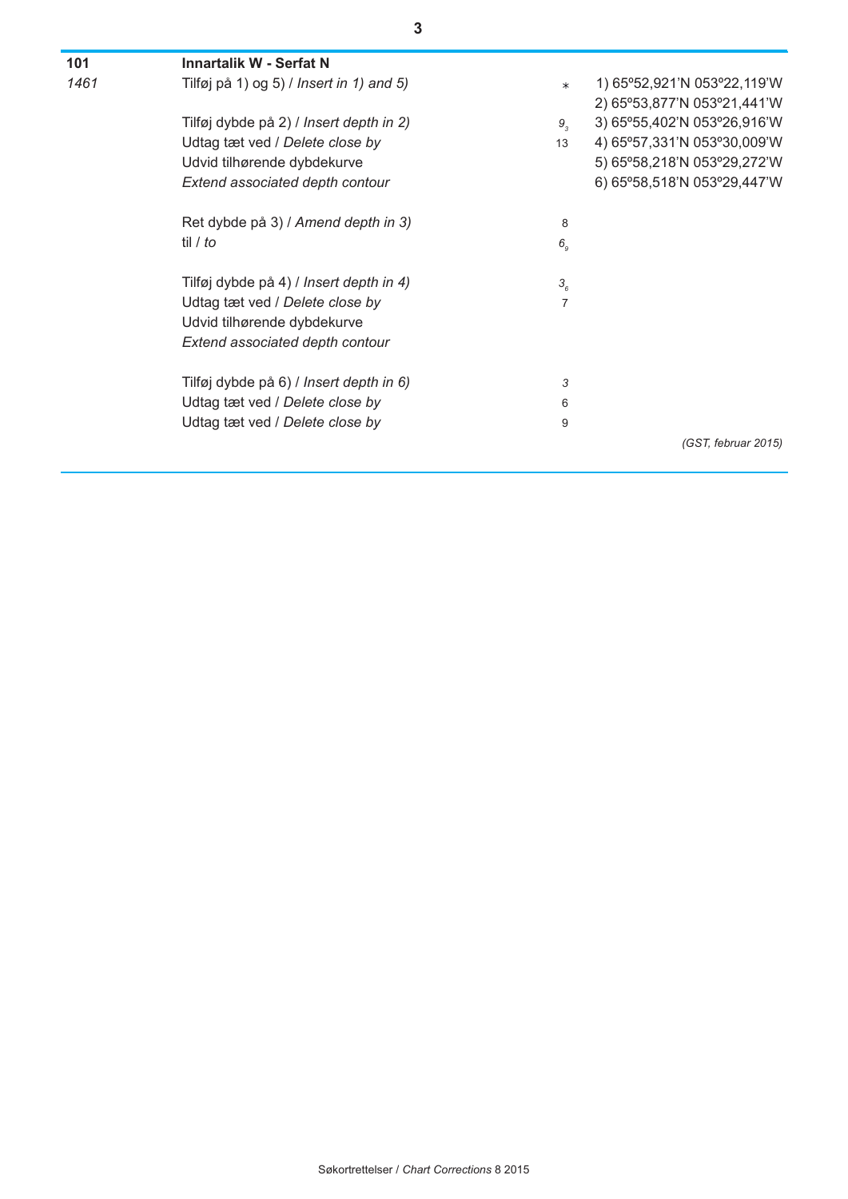| 101  | <b>Innartalik W - Serfat N</b>           |                |                             |
|------|------------------------------------------|----------------|-----------------------------|
| 1461 | Tilføj på 1) og 5) / Insert in 1) and 5) | $\ast$         | 1) 65°52,921'N 053°22,119'W |
|      |                                          |                | 2) 65°53,877'N 053°21,441'W |
|      | Tilføj dybde på 2) / Insert depth in 2)  | $9_{3}$        | 3) 65°55,402'N 053°26,916'W |
|      | Udtag tæt ved / Delete close by          | 13             | 4) 65°57,331'N 053°30,009'W |
|      | Udvid tilhørende dybdekurve              |                | 5) 65°58,218'N 053°29,272'W |
|      | Extend associated depth contour          |                | 6) 65°58,518'N 053°29,447'W |
|      | Ret dybde på 3) / Amend depth in 3)      | 8              |                             |
|      | til / to                                 | 6 <sub>9</sub> |                             |
|      | Tilføj dybde på 4) / Insert depth in 4)  | 3 <sub>6</sub> |                             |
|      | Udtag tæt ved / Delete close by          | 7              |                             |
|      | Udvid tilhørende dybdekurve              |                |                             |
|      | Extend associated depth contour          |                |                             |
|      | Tilføj dybde på 6) / Insert depth in 6)  | 3              |                             |
|      | Udtag tæt ved / Delete close by          | 6              |                             |
|      | Udtag tæt ved / Delete close by          | 9              |                             |
|      |                                          |                | (GST, februar 2015)         |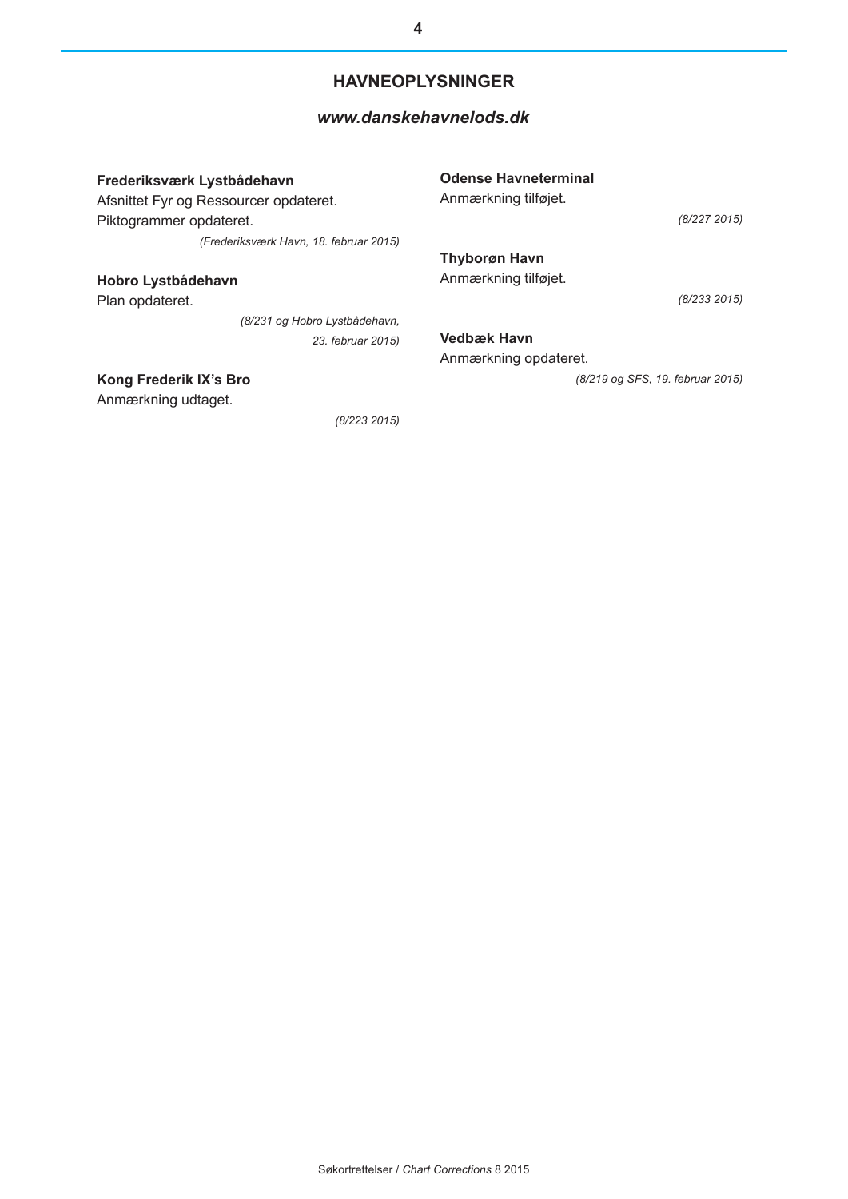#### **HAVNEOPLYSNINGER**

#### *[www.danskehavnelods.dk](http://www.danskehavnelods.dk/)*

**Frederiksværk Lystbådehavn** Afsnittet Fyr og Ressourcer opdateret. Piktogrammer opdateret. *(Frederiksværk Havn, 18. februar 2015)*

**Hobro Lystbådehavn**

Plan opdateret.

*(8/231 og Hobro Lystbådehavn, 23. februar 2015)*

#### **Kong Frederik IX's Bro**

Anmærkning udtaget.

*(8/223 2015)*

**Odense Havneterminal**

Anmærkning tilføjet.

*(8/227 2015)*

**Thyborøn Havn** Anmærkning tilføjet.

*(8/233 2015)*

**Vedbæk Havn** Anmærkning opdateret.

*(8/219 og SFS, 19. februar 2015)*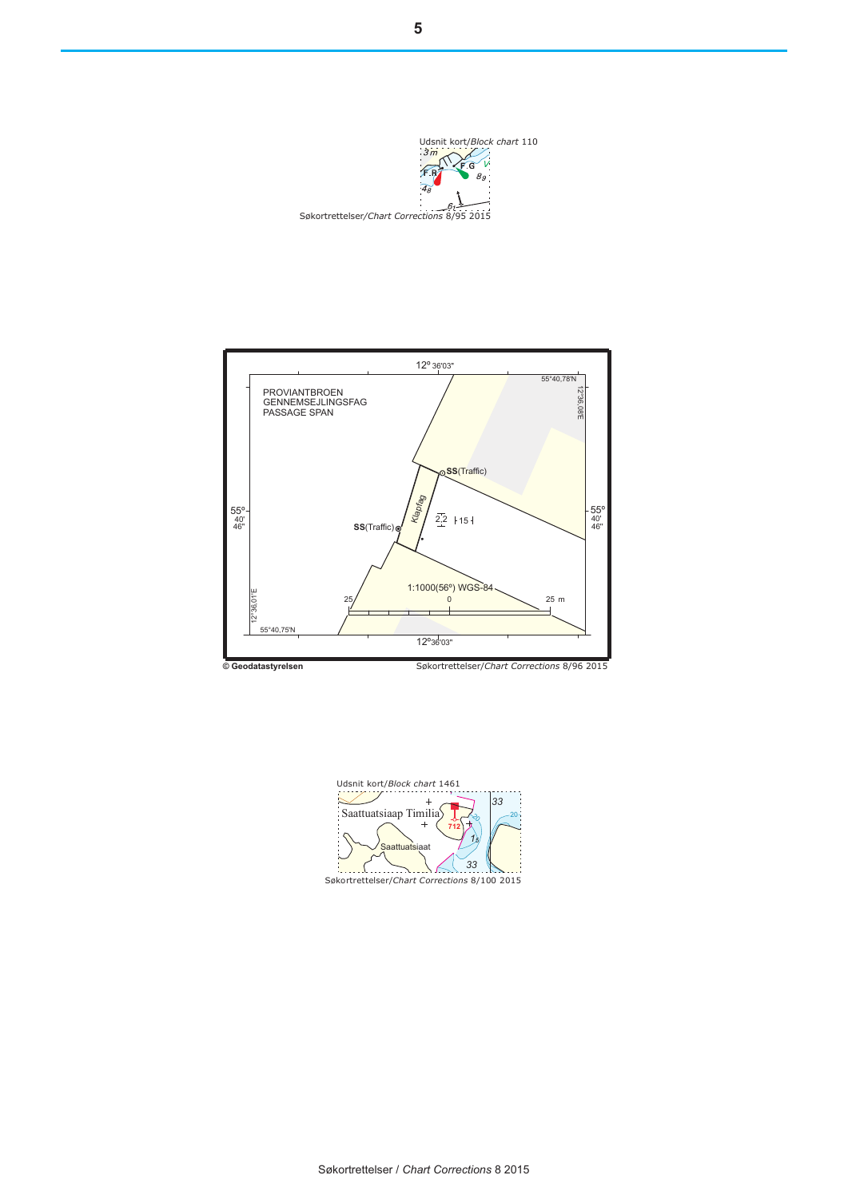<span id="page-4-0"></span>



**Block chart** Udsnit kort/*Block chart* 1461  $\overline{+}$ *33* Saattuatsiaap Timilia 20  $\approx$ **712** *15* attua *33* Søkortrettelser/Chart Corrections 8/100 2015 *9* Søkortrettelser/*Chart Corrections* 8/100 2015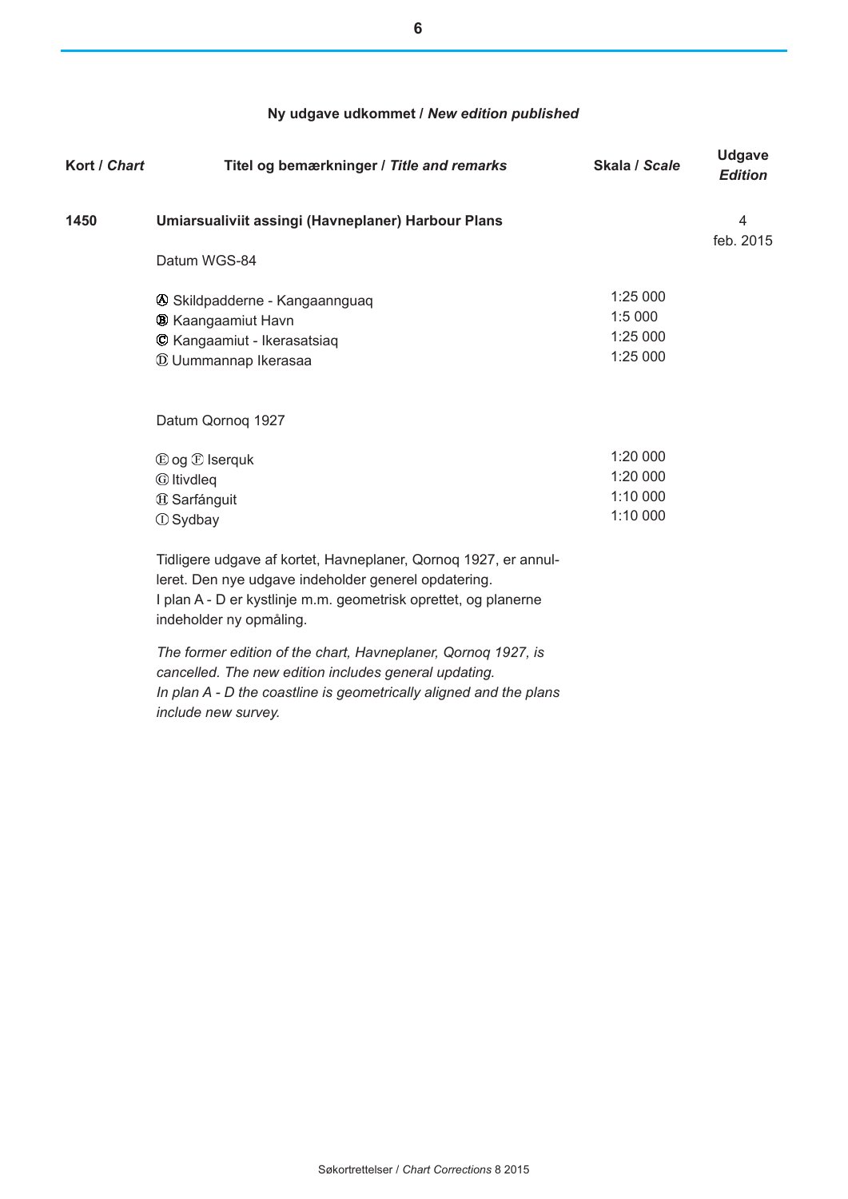#### **Ny udgave udkommet /** *New edition published*

| Kort / Chart | Titel og bemærkninger / Title and remarks                                                                                                                                                                             | Skala / Scale                    | <b>Udgave</b><br><b>Edition</b> |
|--------------|-----------------------------------------------------------------------------------------------------------------------------------------------------------------------------------------------------------------------|----------------------------------|---------------------------------|
| 1450         | Umiarsualiviit assingi (Havneplaner) Harbour Plans                                                                                                                                                                    |                                  | 4<br>feb. 2015                  |
|              | Datum WGS-84                                                                                                                                                                                                          |                                  |                                 |
|              | 4 Skildpadderne - Kangaannguaq<br><b>B</b> Kaangaamiut Havn                                                                                                                                                           | 1:25 000<br>1:5 000              |                                 |
|              | © Kangaamiut - Ikerasatsiaq<br><b>W</b> Uummannap Ikerasaa                                                                                                                                                            | 1:25 000<br>1:25 000             |                                 |
|              | Datum Qornoq 1927                                                                                                                                                                                                     |                                  |                                 |
|              | $\mathbb{D}$ og $\mathbb{D}$ Iserguk                                                                                                                                                                                  | 1:20 000                         |                                 |
|              | <b><i>C</i></b> Itivdleg<br><sup>4</sup> Sarfánguit<br><b><i>I</i></b> Sydbay                                                                                                                                         | 1:20 000<br>1:10 000<br>1:10 000 |                                 |
|              | Tidligere udgave af kortet, Havneplaner, Qornoq 1927, er annul-<br>leret. Den nye udgave indeholder generel opdatering.<br>I plan A - D er kystlinje m.m. geometrisk oprettet, og planerne<br>indeholder ny opmåling. |                                  |                                 |
|              | The former edition of the chart, Havneplaner, Qornoq 1927, is<br>cancelled. The new edition includes general updating.<br>In plan A - D the coastline is geometrically aligned and the plans                          |                                  |                                 |

*include new survey.*

**6**